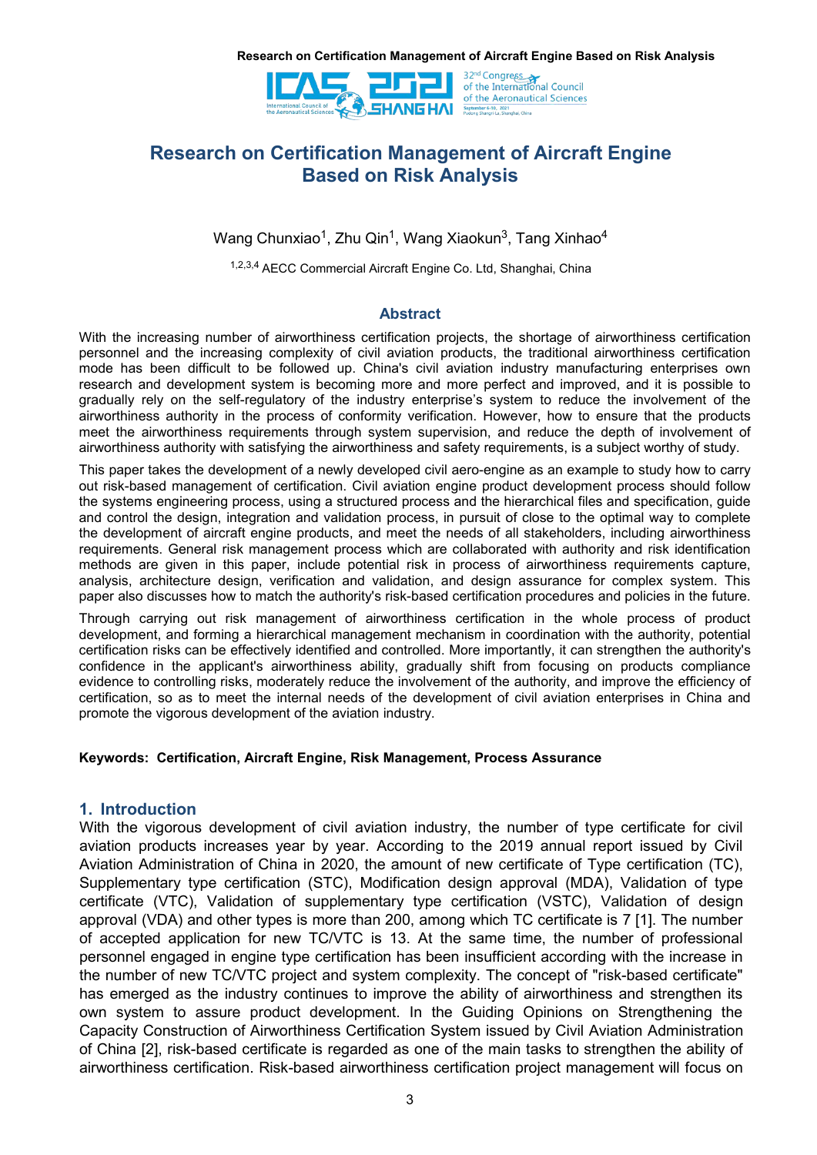

# **Research on Certification Management of Aircraft Engine Based on Risk Analysis**

Wang Chunxiao<sup>1</sup>, Zhu Qin<sup>1</sup>, Wang Xiaokun<sup>3</sup>, Tang Xinhao<sup>4</sup> 4

1,2,3,4 AECC Commercial Aircraft Engine Co. Ltd, Shanghai, China

# **Abstract**

With the increasing number of airworthiness certification projects, the shortage of airworthiness certification personnel and the increasing complexity of civil aviation products, the traditional airworthiness certification mode has been difficult to be followed up. China's civil aviation industry manufacturing enterprises own research and development system is becoming more and more perfect and improved, and it is possible to gradually rely on the self-regulatory of the industry enterprise's system to reduce the involvement of the airworthiness authority in the process of conformity verification. However, how to ensure that the products meet the airworthiness requirements through system supervision, and reduce the depth of involvement of airworthiness authority with satisfying the airworthiness and safety requirements, is a subject worthy of study.

This paper takes the development of a newly developed civil aero-engine as an example to study how to carry out risk-based management of certification. Civil aviation engine product development process should follow the systems engineering process, using a structured process and the hierarchical files and specification, guide and control the design, integration and validation process, in pursuit of close to the optimal way to complete the development of aircraft engine products, and meet the needs of all stakeholders, including airworthiness requirements. General risk management process which are collaborated with authority and risk identification<br>methods are given in this paper, include potential risk in process of airworthiness requirements capture, analysis, architecture design, verification and validation, and design assurance for complex system. This paper also discusses how to match the authority's risk-based certification procedures and policies in the future.

Through carrying out risk management of airworthiness certification in the whole process of product development, and forming a hierarchical management mechanism in coordination with the authority, potential certification risks can be effectively identified and controlled. More importantly, it can strengthen the authority's confidence in the applicant's airworthiness ability, gradually shift from focusing on products compliance evidence to controlling risks, moderately reduce the involvement of the authority, and improve the efficiency of certification, so as to meet the internal needs of the development of civil aviation enterprises in China and promote the vigorous development of the aviation industry.

# **Keywords: Certification, Aircraft Engine, Risk Management, Process Assurance**

# **1. Introduction**

With the vigorous development of civil aviation industry, the number of type certificate for civil aviation products increases year by year. According to the 2019 annual report issued by Civil Aviation Administration of China in 2020, the amount of new certificate of Type certification (TC), Supplementary type certification (STC), Modification design approval (MDA), Validation of type certificate (VTC), Validation of supplementary type certification (VSTC), Validation of design approval (VDA) and other types is more than 200, among which TC certificate is 7 [1]. The number of accepted application for new TC/VTC is 13. At the same time, the number of professional personnel engaged in engine type certification has been insufficient according with the increase in the number of new TC/VTC project and system complexity. The concept of "risk-based certificate" has emerged as the industry continues to improve the ability of airworthiness and strengthen its own system to assure product development. In the Guiding Opinions on Strengthening the Capacity Construction of Airworthiness Certification System issued by Civil Aviation Administration of China [2], risk-based certificate is regarded as one of the main tasks to strengthen the ability of airworthiness certification. Risk-based airworthiness certification project management will focus on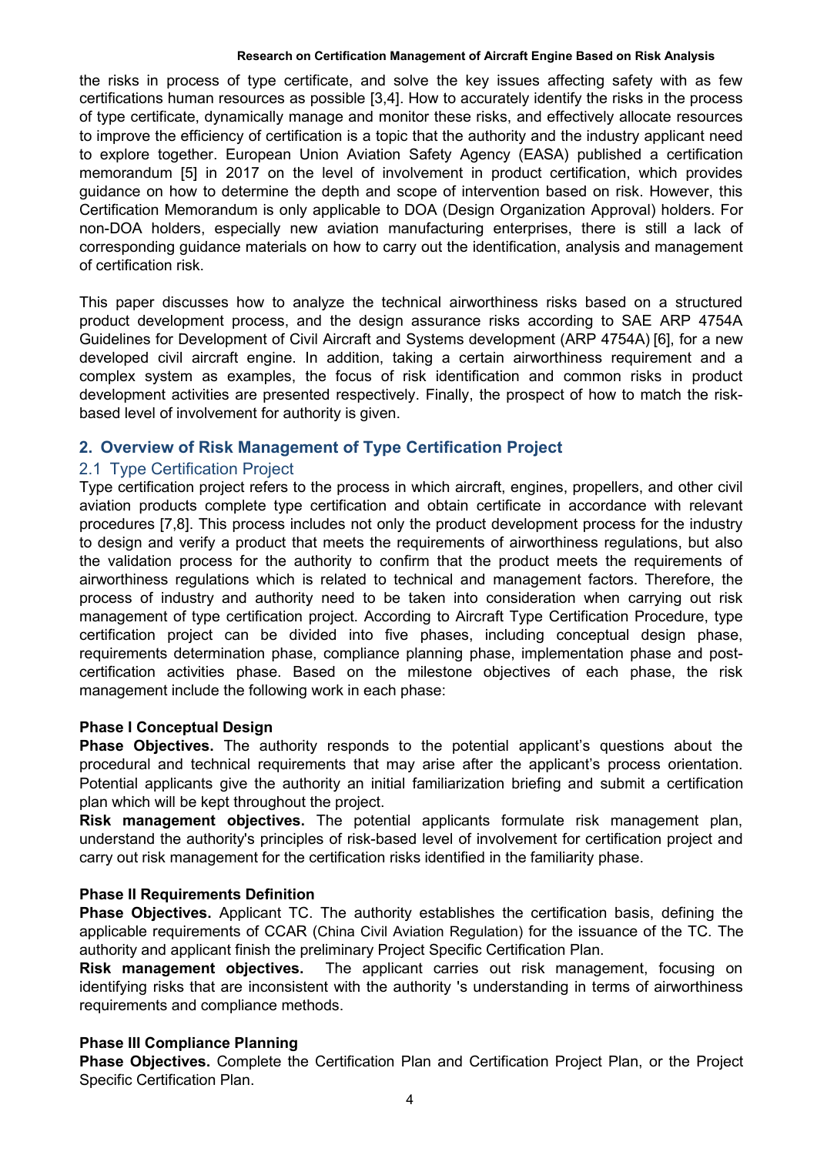the risks in process of type certificate, and solve the key issues affecting safety with as few certifications human resources as possible [3,4]. How to accurately identify the risks in the process of type certificate, dynamically manage and monitor these risks, and effectively allocate resources to improve the efficiency of certification is a topic that the authority and the industry applicant need to explore together. European Union Aviation Safety Agency (EASA) published a certification memorandum [5] in 2017 on the level of involvement in product certification, which provides guidance on how to determine the depth and scope of intervention based on risk. However, this Certification Memorandum is only applicable to DOA (Design Organization Approval) holders. For non-DOA holders, especially new aviation manufacturing enterprises, there is still a lack of corresponding guidance materials on how to carry out the identification, analysis and management of certification risk.

This paper discusses how to analyze the technical airworthiness risks based on a structured product development process, and the design assurance risks according to SAE ARP 4754A Guidelines for Development of Civil Aircraft and Systems development (ARP 4754A) [6], for a new developed civil aircraft engine. In addition, taking a certain airworthiness requirement and a complex system as examples, the focus of risk identification and common risks in product development activities are presented respectively. Finally, the prospect of how to match the risk based level of involvement for authority is given.

# **2. Overview of Risk Management of Type Certification Project**

# 2.1 Type Certification Project

Type certification project refers to the process in which aircraft, engines, propellers, and other civil aviation products complete type certification and obtain certificate in accordance with relevant procedures [7,8]. This process includes not only the product development process for the industry to design and verify a product that meets the requirements of airworthiness regulations, but also the validation process for the authority to confirm that the product meets the requirements of airworthiness regulations which is related to technical and management factors. Therefore, the process of industry and authority need to be taken into consideration when carrying out risk management of type certification project. According to Aircraft Type Certification Procedure, type certification project can be divided into five phases, including conceptual design phase, requirements determination phase, compliance planning phase, implementation phase and post certification activities phase. Based on the milestone objectives of each phase, the risk management include the following work in each phase:

# **Phase I Conceptual Design**

**Phase Objectives.** The authority responds to the potential applicant's questions about the procedural and technical requirements that may arise after the applicant's process orientation. Potential applicants give the authority an initial familiarization briefing and submit a certification plan which will be kept throughout the project.

**Risk management objectives.** The potential applicants formulate risk management plan, understand the authority's principles of risk-based level of involvement for certification project and carry out risk management for the certification risks identified in the familiarity phase.

# **Phase II Requirements Definition**

**Phase Objectives.** Applicant TC. The authority establishes the certification basis, defining the applicable requirements of CCAR (China Civil Aviation Regulation) for the issuance of the TC. The authority and applicant finish the preliminary Project Specific Certification Plan.

**Risk management objectives.** The applicant carries out risk management, focusing on identifying risks that are inconsistent with the authority 's understanding in terms of airworthiness requirements and compliance methods.

# **Phase III Compliance Planning**

**Phase Objectives.** Complete the Certification Plan and Certification Project Plan, or the Project Specific Certification Plan.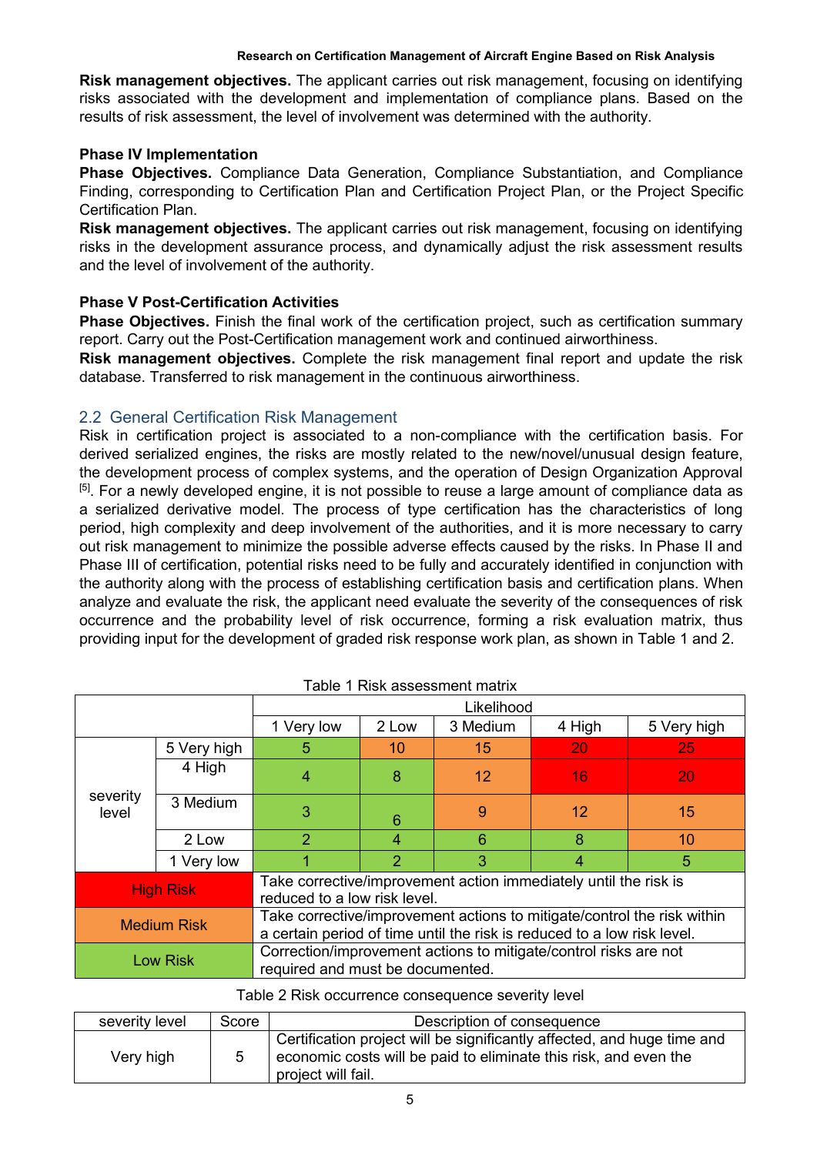**Risk management objectives.** The applicant carries out risk management, focusing on identifying risks associated with the development and implementation of compliance plans. Based on the results of risk assessment, the level of involvement was determined with the authority.

# **Phase IV Implementation**

**Phase Objectives.** Compliance Data Generation, Compliance Substantiation, and Compliance Finding, corresponding to Certification Plan and Certification Project Plan, or the Project Specific Certification Plan.

**Risk management objectives.** The applicant carries out risk management, focusing on identifying risks in the development assurance process, and dynamically adjust the risk assessment results and the level of involvement of the authority.

# **Phase V Post-Certification Activities**

**Phase Objectives.** Finish the final work of the certification project, such as certification summary report. Carry out the Post-Certification management work and continued airworthiness.

**Risk management objectives.** Complete the risk management final report and update the risk database. Transferred to risk management in the continuous airworthiness.

# 2.2 General Certification Risk Management

Risk in certification project is associated to a non-compliance with the certification basis. For derived serialized engines, the risks are mostly related to the new/novel/unusual design feature, the development process of complex systems, and the operation of Design Organization Approval <sup>[5]</sup>. For a newly developed engine, it is not possible to reuse a large amount of compliance data as a serialized derivative model. The process of type certification has the characteristics of long period, high complexity and deep involvement of the authorities, and it is more necessary to carry out risk management to minimize the possible adverse effects caused by the risks. In Phase II and Phase III of certification, potential risks need to be fully and accurately identified in conjunction with the authority along with the process of establishing certification basis and certification plans. When analyze and evaluate the risk, the applicant need evaluate the severity of the consequences of risk occurrence and the probability level of risk occurrence, forming a risk evaluation matrix, thus providing input for the development of graded risk response work plan, as shown in Table 1 and 2.

|                    |             | Likelihood                                                                                                                                         |                |                 |           |             |  |
|--------------------|-------------|----------------------------------------------------------------------------------------------------------------------------------------------------|----------------|-----------------|-----------|-------------|--|
|                    |             | 1 Very low                                                                                                                                         | 2 Low          | 3 Medium        | 4 High    | 5 Very high |  |
|                    | 5 Very high | 5                                                                                                                                                  | 10             | 15              | <b>20</b> | 25          |  |
|                    | 4 High      | 4                                                                                                                                                  | 8              | 12 <sup>2</sup> | 16        | 20          |  |
| severity<br>level  | 3 Medium    | 3                                                                                                                                                  | 6              | 9               | 12        | 15          |  |
|                    | 2 Low       | 2                                                                                                                                                  | 4              | 6               | 8         | 10          |  |
|                    | 1 Very low  |                                                                                                                                                    | $\overline{2}$ | 3               | 4         | 5           |  |
| <b>High Risk</b>   |             | Take corrective/improvement action immediately until the risk is<br>reduced to a low risk level.                                                   |                |                 |           |             |  |
| <b>Medium Risk</b> |             | Take corrective/improvement actions to mitigate/control the risk within<br>a certain period of time until the risk is reduced to a low risk level. |                |                 |           |             |  |
| <b>Low Risk</b>    |             | Correction/improvement actions to mitigate/control risks are not<br>required and must be documented.                                               |                |                 |           |             |  |

Table 1 Risk assessment matrix

### Table 2 Risk occurrence consequence severity level

| severity level | Score | Description of consequence                                                                                                                                        |
|----------------|-------|-------------------------------------------------------------------------------------------------------------------------------------------------------------------|
| Very high      |       | Certification project will be significantly affected, and huge time and<br>economic costs will be paid to eliminate this risk, and even the<br>project will fail. |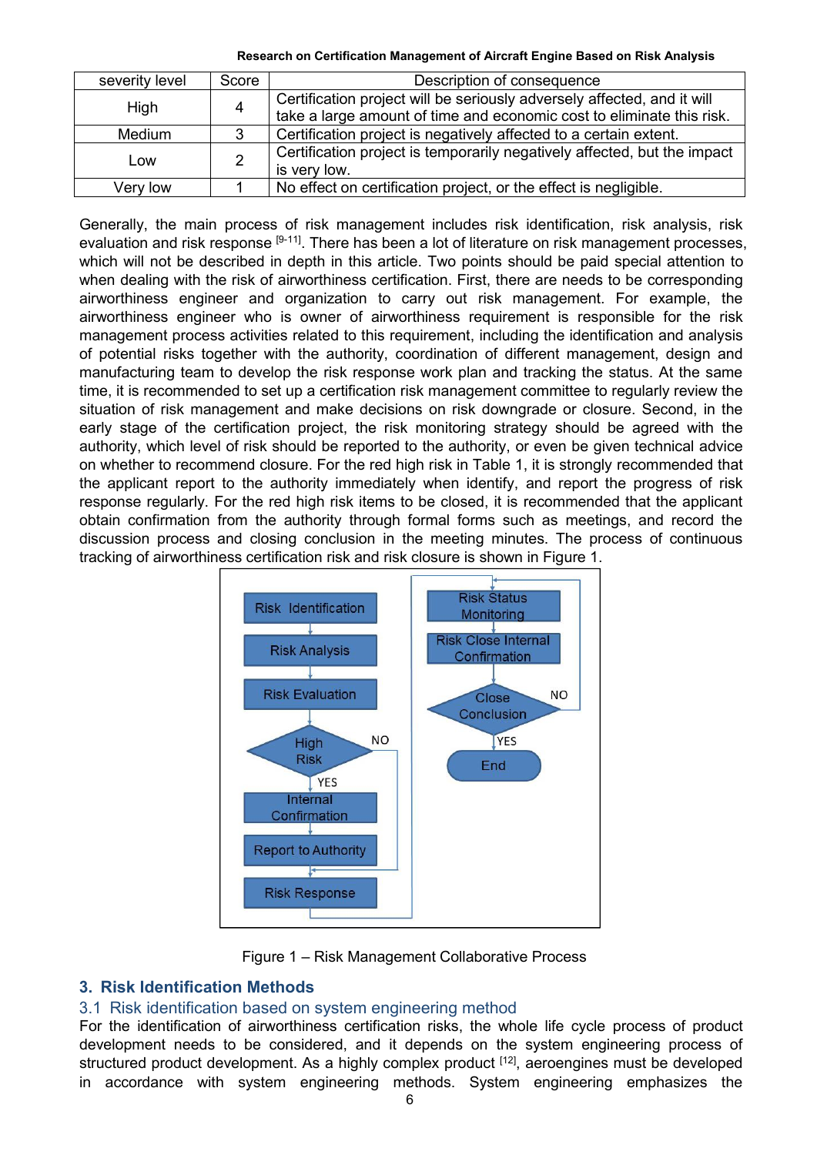**Research on Certification Management of Aircraft Engine Based on Risk Analysis**

| severity level | Score | Description of consequence                                                                                                                       |
|----------------|-------|--------------------------------------------------------------------------------------------------------------------------------------------------|
| High           | 4     | Certification project will be seriously adversely affected, and it will<br>take a large amount of time and economic cost to eliminate this risk. |
| <b>Medium</b>  | 3     | Certification project is negatively affected to a certain extent.                                                                                |
| Low            | 2     | Certification project is temporarily negatively affected, but the impact<br>is very low.                                                         |
| Very low       |       | No effect on certification project, or the effect is negligible.                                                                                 |

Generally, the main process ofrisk management includes risk identification, risk analysis, risk evaluation and risk response <sup>[9-11]</sup>. There has been a lot of literature on risk management processes, which will not be described in depth in this article. Two points should be paid special attention to when dealing with the risk of airworthiness certification. First, there are needs to be corresponding airworthiness engineer and organization to carry out risk management. For example, the airworthiness engineer who is owner of airworthiness requirement is responsible for the risk management process activities related to this requirement, including the identification and analysis of potential risks together with the authority, coordination of different management, design and manufacturing team to develop the risk response work plan and tracking the status. At the same time, it is recommended to set up a certification risk management committee to regularly review the situation of risk management and make decisions on risk downgrade or closure. Second, in the early stage of the certification project, the risk monitoring strategy should be agreed with the authority, which level of risk should be reported to the authority, or even be given technical advice on whether to recommend closure. For the red high risk in Table 1, it is strongly recommended that the applicant report to the authority immediately when identify, and report the progress of risk response regularly. For the red high risk items to be closed, it is recommended that the applicant obtain confirmation from the authority through formal forms such as meetings, and record the discussion process and closing conclusion in the meeting minutes. The process of continuous tracking of airworthiness certification risk and risk closure is shown in Figure 1.





# **3. Risk Identification Methods**

# 3.1 Risk identification based on system engineering method

For the identification of airworthiness certification risks, the whole life cycle process of product development needs to be considered, and it depends on the system engineering process of structured product development. As a highly complex product <sup>[12]</sup>, aeroengines must be developed in accordance with system engineering methods. System engineering emphasizes the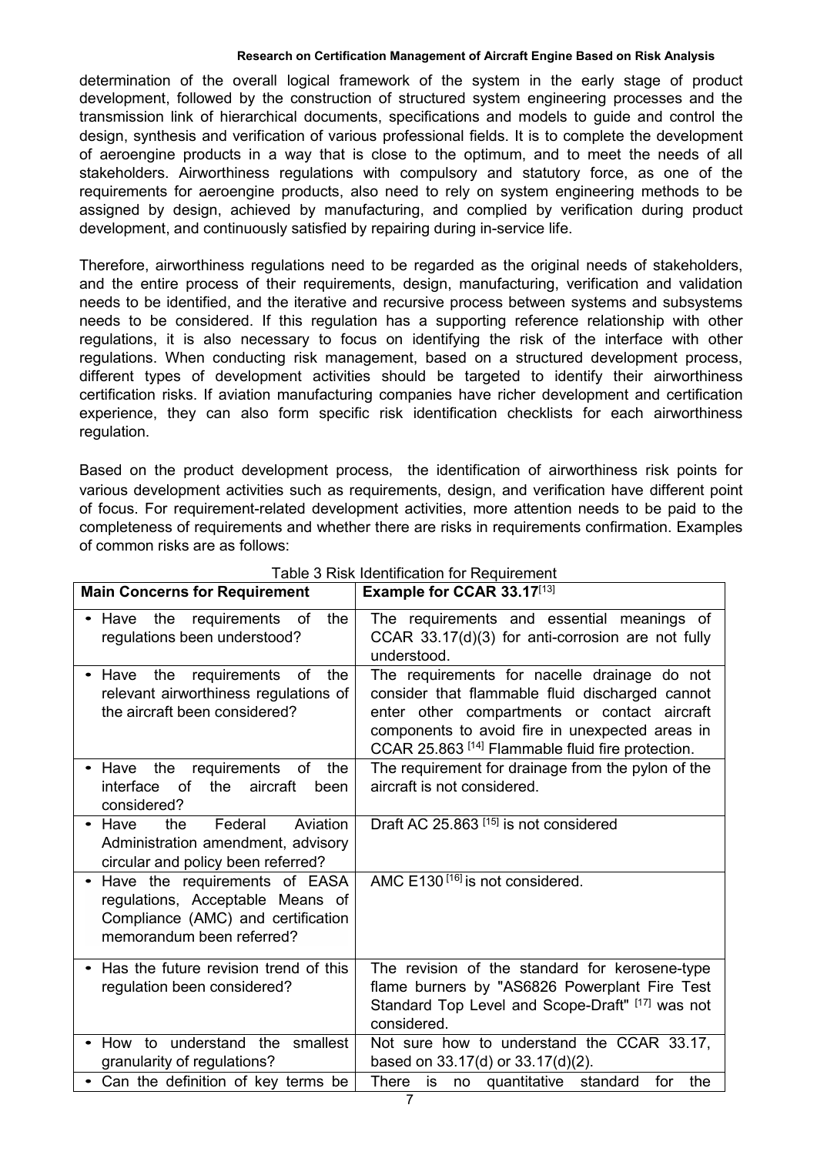determination of the overall logical framework of the system in the early stage of product development, followed by the construction of structured system engineering processes and the transmission link of hierarchical documents, specifications and models to guide and control the design, synthesis and verification of various professional fields. It is to complete the development of aeroengine products in a way that is close to the optimum, and to meet the needs of all stakeholders. Airworthiness regulations with compulsory and statutory force, as one of the requirements for aeroengine products, also need to rely on system engineering methods to be assigned by design, achieved by manufacturing, and complied by verification during product development, and continuously satisfied by repairing during in-service life.

Therefore, airworthiness regulations need to be regarded as the original needs of stakeholders, and the entire process of their requirements, design, manufacturing, verification and validation needs to be identified, and the iterative and recursive process between systems and subsystems needs to be considered. If this regulation has a supporting reference relationship with other regulations, it is also necessary to focus on identifying the risk of the interface with other regulations. When conducting risk management, based on a structured development process, different types of development activities should be targeted to identify their airworthiness certification risks. If aviation manufacturing companies have richer development and certification experience, they can also form specific risk identification checklists for each airworthiness regulation.

Based on the product development process, the identification of airworthiness risk points for various development activities such as requirements, design, and verification have different point of focus. For requirement-related development activities, more attention needs to be paid to the completeness of requirements and whether there are risks in requirements confirmation. Examples of common risks are as follows:

| <b>Main Concerns for Requirement</b>                                                                                                 | Example for CCAR 33.17[13]                                                                                                                                                                                                                              |
|--------------------------------------------------------------------------------------------------------------------------------------|---------------------------------------------------------------------------------------------------------------------------------------------------------------------------------------------------------------------------------------------------------|
| • Have the requirements of<br>the<br>regulations been understood?                                                                    | The requirements and essential meanings of<br>CCAR 33.17(d)(3) for anti-corrosion are not fully<br>understood.                                                                                                                                          |
| • Have the requirements of the<br>relevant airworthiness regulations of<br>the aircraft been considered?                             | The requirements for nacelle drainage do not<br>consider that flammable fluid discharged cannot<br>enter other compartments or contact aircraft<br>components to avoid fire in unexpected areas in<br>CCAR 25.863 [14] Flammable fluid fire protection. |
| Have the requirements of the<br>$\bullet$<br>aircraft<br>interface of<br>the<br>been<br>considered?                                  | The requirement for drainage from the pylon of the<br>aircraft is not considered.                                                                                                                                                                       |
| Aviation<br>Federal<br>• Have<br>the<br>Administration amendment, advisory<br>circular and policy been referred?                     | Draft AC 25.863 <sup>[15]</sup> is not considered                                                                                                                                                                                                       |
| Have the requirements of EASA<br>regulations, Acceptable Means of<br>Compliance (AMC) and certification<br>memorandum been referred? | AMC E130 <sup>[16]</sup> is not considered.                                                                                                                                                                                                             |
| Has the future revision trend of this<br>$\bullet$<br>regulation been considered?                                                    | The revision of the standard for kerosene-type<br>flame burners by "AS6826 Powerplant Fire Test<br>Standard Top Level and Scope-Draft" [17] was not<br>considered.                                                                                      |
| • How to understand the smallest<br>granularity of regulations?                                                                      | Not sure how to understand the CCAR 33.17,<br>based on $33.17(d)$ or $33.17(d)(2)$ .                                                                                                                                                                    |
| • Can the definition of key terms be                                                                                                 | There is no quantitative standard<br>the<br>for                                                                                                                                                                                                         |

Table 3 Risk Identification for Requirement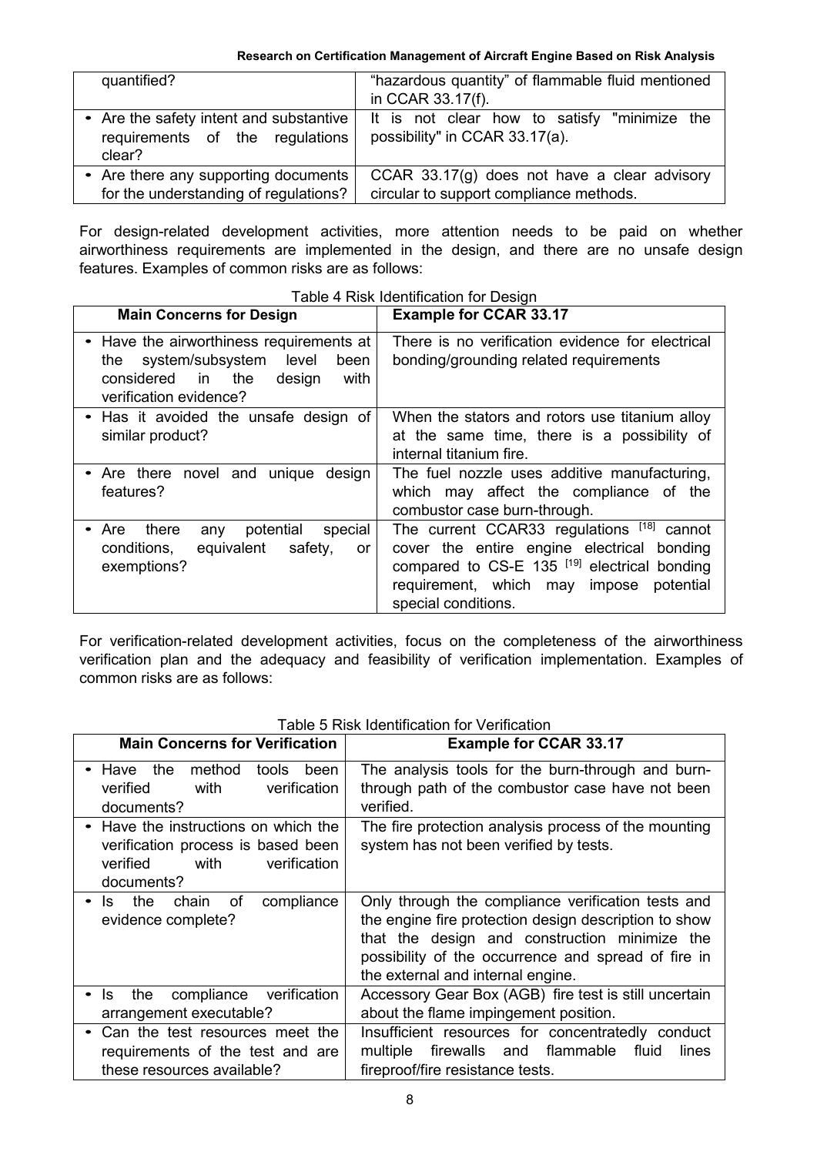| quantified?                               | "hazardous quantity" of flammable fluid mentioned<br>in CCAR 33.17(f).                                                 |
|-------------------------------------------|------------------------------------------------------------------------------------------------------------------------|
| requirements of the regulations<br>clear? | Are the safety intent and substantive   It is not clear how to satisfy "minimize the<br>possibility" in CCAR 33.17(a). |
| Are there any supporting documents        | CCAR $33.17(g)$ does not have a clear advisory                                                                         |
| for the understanding of regulations?     | circular to support compliance methods.                                                                                |

For design-related development activities, more attention needs to be paid on whether airworthiness requirements are implemented in the design, and there are no unsafe design features. Examples of common risks are as follows:

| <b>Main Concerns for Design</b>                                                                                                               | <b>Example for CCAR 33.17</b>                                                                                                                                                                                            |
|-----------------------------------------------------------------------------------------------------------------------------------------------|--------------------------------------------------------------------------------------------------------------------------------------------------------------------------------------------------------------------------|
| Have the airworthiness requirements at<br>the system/subsystem level<br>been<br>considered in the<br>design<br>with<br>verification evidence? | There is no verification evidence for electrical<br>bonding/grounding related requirements                                                                                                                               |
| Has it avoided the unsafe design of<br>similar product?                                                                                       | When the stators and rotors use titanium alloy<br>at the same time, there is a possibility of<br>internal titanium fire.                                                                                                 |
| Are there novel and unique design<br>features?                                                                                                | The fuel nozzle uses additive manufacturing,<br>which may affect the compliance of the<br>combustor case burn-through.                                                                                                   |
| potential<br>special<br>there<br>• Are<br>any<br>equivalent<br>safety,<br>conditions,<br>or<br>exemptions?                                    | The current CCAR33 regulations [18] cannot<br>cover the entire engine electrical bonding<br>compared to CS-E 135 <sup>[19]</sup> electrical bonding<br>requirement, which may impose<br>potential<br>special conditions. |

Table 4 Risk Identification for Design

For verification-related development activities, focus on the completeness of the airworthiness verification plan and the adequacy and feasibility of verification implementation. Examples of common risks are as follows:

| <b>Main Concerns for Verification</b>                                                                                        | <b>Example for CCAR 33.17</b>                                                                                                                                                                                                                            |
|------------------------------------------------------------------------------------------------------------------------------|----------------------------------------------------------------------------------------------------------------------------------------------------------------------------------------------------------------------------------------------------------|
| method<br>• Have the<br>tools been<br>verification<br>verified<br>with<br>documents?                                         | The analysis tools for the burn-through and burn-<br>through path of the combustor case have not been<br>verified.                                                                                                                                       |
| • Have the instructions on which the<br>verification process is based been<br>verified<br>verification<br>with<br>documents? | The fire protection analysis process of the mounting<br>system has not been verified by tests.                                                                                                                                                           |
| compliance<br>the<br>chain<br>0f<br>$\cdot$ Is<br>evidence complete?                                                         | Only through the compliance verification tests and<br>the engine fire protection design description to show<br>that the design and construction minimize the<br>possibility of the occurrence and spread of fire in<br>the external and internal engine. |
| compliance<br>verification<br>the<br>ls.<br>$\bullet$<br>arrangement executable?                                             | Accessory Gear Box (AGB) fire test is still uncertain<br>about the flame impingement position.                                                                                                                                                           |
| Can the test resources meet the<br>requirements of the test and are<br>these resources available?                            | Insufficient resources for concentratedly conduct<br>multiple firewalls and flammable<br>lines<br>fluid<br>fireproof/fire resistance tests.                                                                                                              |

### Table 5 Risk Identification for Verification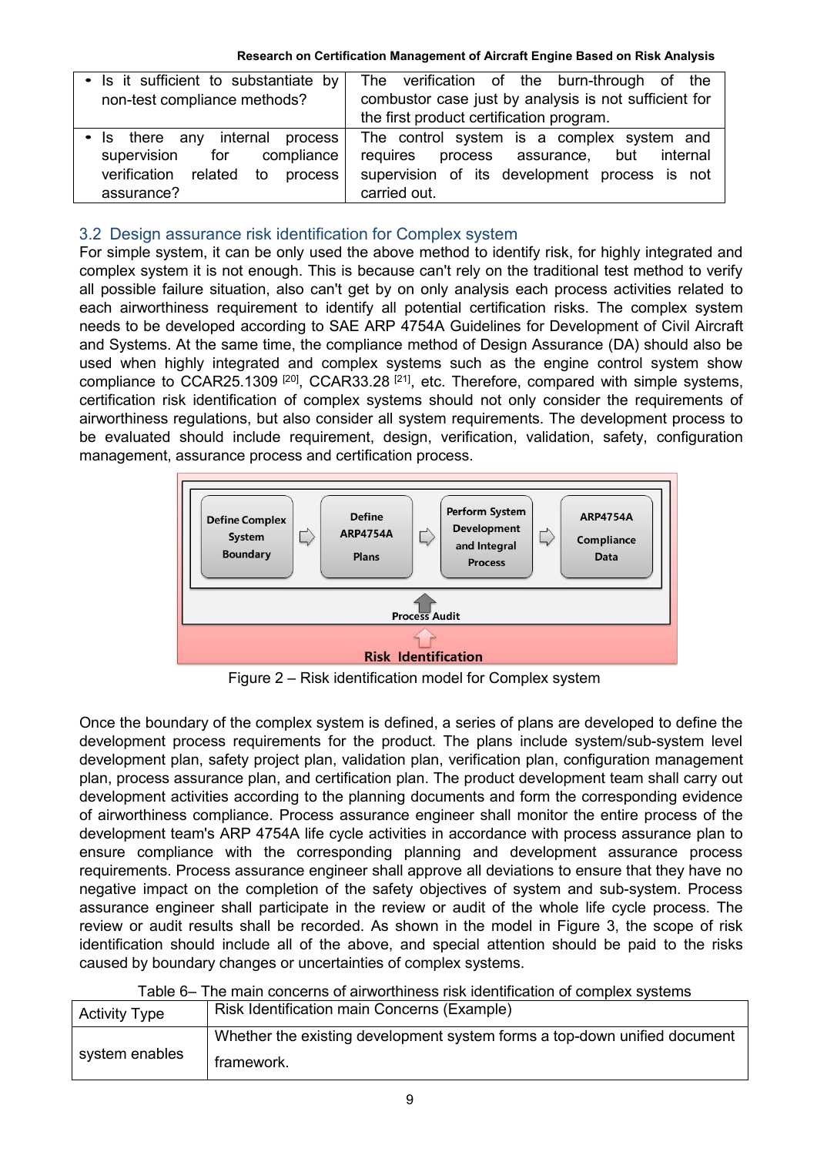| • Is it sufficient to substantiate by $\vert$<br>non-test compliance methods?          | The verification of the burn-through of the<br>combustor case just by analysis is not sufficient for<br>the first product certification program. |
|----------------------------------------------------------------------------------------|--------------------------------------------------------------------------------------------------------------------------------------------------|
| internal<br>process<br>• Is there any<br>supervision<br>$\,$ compliance $\, \,$<br>for | The control system is a complex system and<br>requires<br>process assurance,<br>but internal                                                     |
| related to<br>process<br>verification<br>assurance?                                    | supervision of its development process is not<br>carried out.                                                                                    |

# 3.2 Design assurance risk identification for Complex system

For simple system, it can be only used the above method to identify risk, for highly integrated and complex system it is not enough. This is because can't rely on the traditional test method to verify all possible failure situation, also can't get by on only analysis each process activities related to each airworthiness requirement to identify all potential certification risks. The complex system needs to be developed according to SAE ARP 4754A Guidelines for Development of Civil Aircraft and Systems. At the same time, the compliance method of Design Assurance (DA) should also be used when highly integrated and complex systems such as the engine control system show compliance to CCAR25.1309<sup>[20]</sup>, CCAR33.28<sup>[21]</sup>, etc. Therefore, compared with simple systems, certification risk identification of complex systems should not only consider the requirements of airworthiness regulations, but also consider all system requirements. The development process to be evaluated should include requirement, design, verification, validation, safety, configuration management, assurance process and certification process.



Figure 2 – Risk identification model for Complex system

Once the boundary of the complex system is defined, a series of plans are developed to define the development process requirements for the product. The plans include system/sub-system level development plan, safety project plan, validation plan, verification plan, configuration management plan, process assurance plan, and certification plan. The product development team shall carry out development activities according to the planning documents and form the corresponding evidence of airworthiness compliance. Process assurance engineer shall monitor the entire process of the development team's ARP 4754A life cycle activities in accordance with process assurance plan to ensure compliance with the corresponding planning and development assurance process requirements. Process assurance engineer shall approve all deviations to ensure that they have no negative impact on the completion of the safety objectives of system and sub-system. Process assurance engineer shall participate in the review or audit of the whole life cycle process. The review or audit results shall be recorded. As shown in the model in Figure 3, the scope of risk identification should include all of the above, and special attention should be paid to the risks caused by boundary changes or uncertainties of complex systems.

|  |  | Table 6– The main concerns of airworthiness risk identification of complex systems |  |
|--|--|------------------------------------------------------------------------------------|--|
|  |  |                                                                                    |  |

| <b>Activity Type</b> | Risk Identification main Concerns (Example)                               |  |
|----------------------|---------------------------------------------------------------------------|--|
|                      | Whether the existing development system forms a top-down unified document |  |
| system enables       | framework.                                                                |  |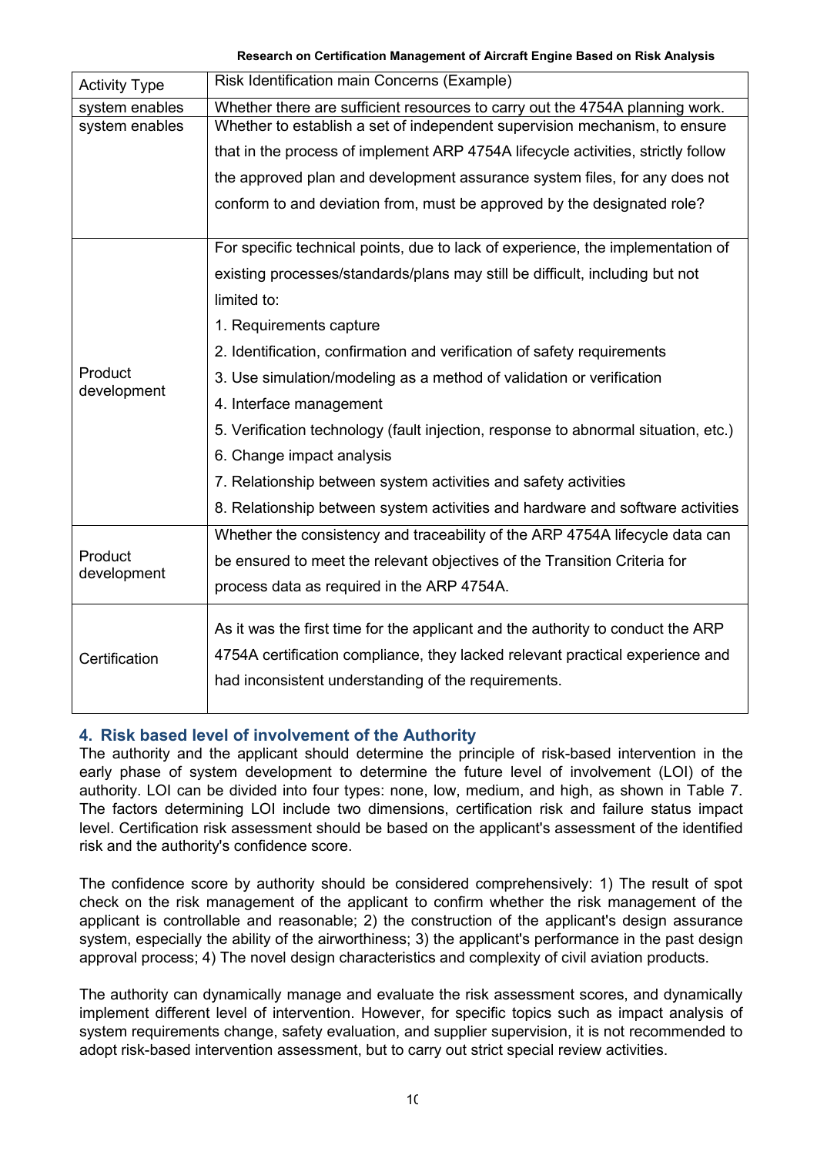| <b>Activity Type</b> | Risk Identification main Concerns (Example)                                        |
|----------------------|------------------------------------------------------------------------------------|
| system enables       | Whether there are sufficient resources to carry out the 4754A planning work.       |
| system enables       | Whether to establish a set of independent supervision mechanism, to ensure         |
|                      | that in the process of implement ARP 4754A lifecycle activities, strictly follow   |
|                      | the approved plan and development assurance system files, for any does not         |
|                      | conform to and deviation from, must be approved by the designated role?            |
|                      | For specific technical points, due to lack of experience, the implementation of    |
|                      | existing processes/standards/plans may still be difficult, including but not       |
|                      | limited to:                                                                        |
|                      | 1. Requirements capture                                                            |
|                      | 2. Identification, confirmation and verification of safety requirements            |
| Product              | 3. Use simulation/modeling as a method of validation or verification               |
| development          | 4. Interface management                                                            |
|                      | 5. Verification technology (fault injection, response to abnormal situation, etc.) |
|                      | 6. Change impact analysis                                                          |
|                      | 7. Relationship between system activities and safety activities                    |
|                      | 8. Relationship between system activities and hardware and software activities     |
|                      | Whether the consistency and traceability of the ARP 4754A lifecycle data can       |
| Product              | be ensured to meet the relevant objectives of the Transition Criteria for          |
| development          | process data as required in the ARP 4754A.                                         |
|                      | As it was the first time for the applicant and the authority to conduct the ARP    |
|                      |                                                                                    |
| Certification        | 4754A certification compliance, they lacked relevant practical experience and      |
|                      | had inconsistent understanding of the requirements.                                |
|                      |                                                                                    |

# **4. Risk based level of involvement of the Authority**

The authority and the applicant should determine the principle of risk-based intervention in the early phase of system development to determine the future level of involvement (LOI) of the authority. LOI can be divided into four types: none, low, medium, and high, as shown in Table 7. The factors determining LOI include two dimensions, certification risk and failure status impact level. Certification risk assessment should be based on the applicant's assessment of the identified risk and the authority's confidence score.

The confidence score by authority should be considered comprehensively: 1) The result of spot check on the risk management of the applicant to confirm whether the risk management of the applicant is controllable and reasonable; 2) the construction of the applicant's design assurance system, especially the ability of the airworthiness; 3) the applicant's performance in the past design approval process; 4) The novel design characteristics and complexity of civil aviation products.

The authority can dynamically manage and evaluate the risk assessment scores, and dynamically implement different level of intervention. However, for specific topics such as impact analysis of system requirements change, safety evaluation, and supplier supervision, it is not recommended to adopt risk-based intervention assessment, but to carry out strict special review activities.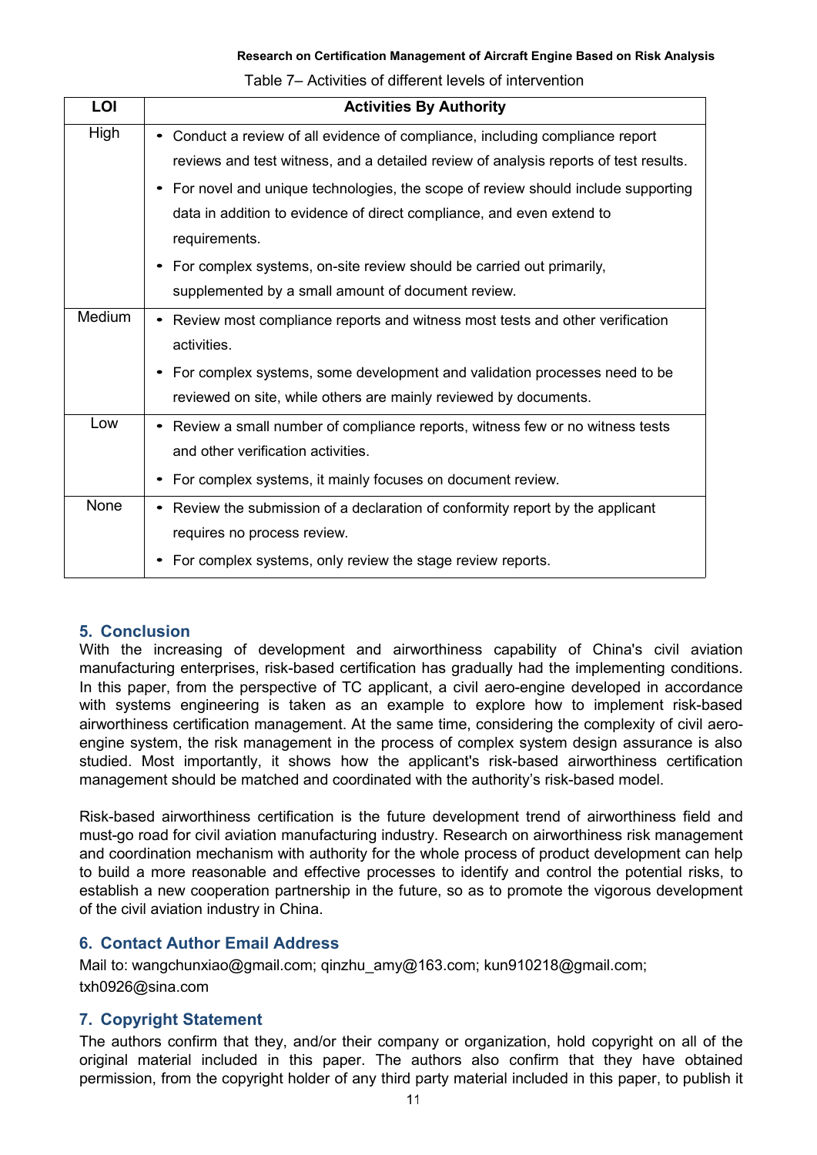Table 7– Activities of different levels of intervention

| LOI    | <b>Activities By Authority</b>                                                       |
|--------|--------------------------------------------------------------------------------------|
| High   | • Conduct a review of all evidence of compliance, including compliance report        |
|        | reviews and test witness, and a detailed review of analysis reports of test results. |
|        | • For novel and unique technologies, the scope of review should include supporting   |
|        | data in addition to evidence of direct compliance, and even extend to                |
|        | requirements.                                                                        |
|        | • For complex systems, on-site review should be carried out primarily,               |
|        | supplemented by a small amount of document review.                                   |
| Medium | • Review most compliance reports and witness most tests and other verification       |
|        | activities.                                                                          |
|        | • For complex systems, some development and validation processes need to be          |
|        | reviewed on site, while others are mainly reviewed by documents.                     |
| Low    | • Review a small number of compliance reports, witness few or no witness tests       |
|        | and other verification activities.                                                   |
|        | • For complex systems, it mainly focuses on document review.                         |
| None   | • Review the submission of a declaration of conformity report by the applicant       |
|        | requires no process review.                                                          |
|        | For complex systems, only review the stage review reports.<br>٠                      |

# **5. Conclusion**

With the increasing of development and airworthiness capability of China's civil aviation manufacturing enterprises, risk-based certification has gradually had the implementing conditions. In this paper, from the perspective of TC applicant, a civil aero-engine developed in accordance with systems engineering is taken as an example to explore how to implement risk-based airworthiness certification management. At the same time, considering the complexity of civil aeroengine system, the risk management in the process of complex system design assurance is also studied. Most importantly, it shows how the applicant's risk-based airworthiness certification management should be matched and coordinated with the authority's risk-based model.

Risk-based airworthiness certification is the future development trend of airworthiness field and must-go road for civil aviation manufacturing industry. Research on airworthiness risk management and coordination mechanism with authority for the whole process of product development can help to build a more reasonable and effective processes to identify and control the potential risks, to establish a new cooperation partnership in the future, so as to promote the vigorous development of the civil aviation industry in China.

# **6. Contact Author Email Address**

Mail to: wangchunxiao@gmail.com; qinzhu\_amy@163.com; kun910218@gmail.com; txh0926@sina.com

# **7. Copyright Statement**

The authors confirm that they, and/or their company or organization, hold copyright on all of the original material included in this paper. The authors also confirm that they have obtained permission, from the copyright holder of any third party material included in this paper, to publish it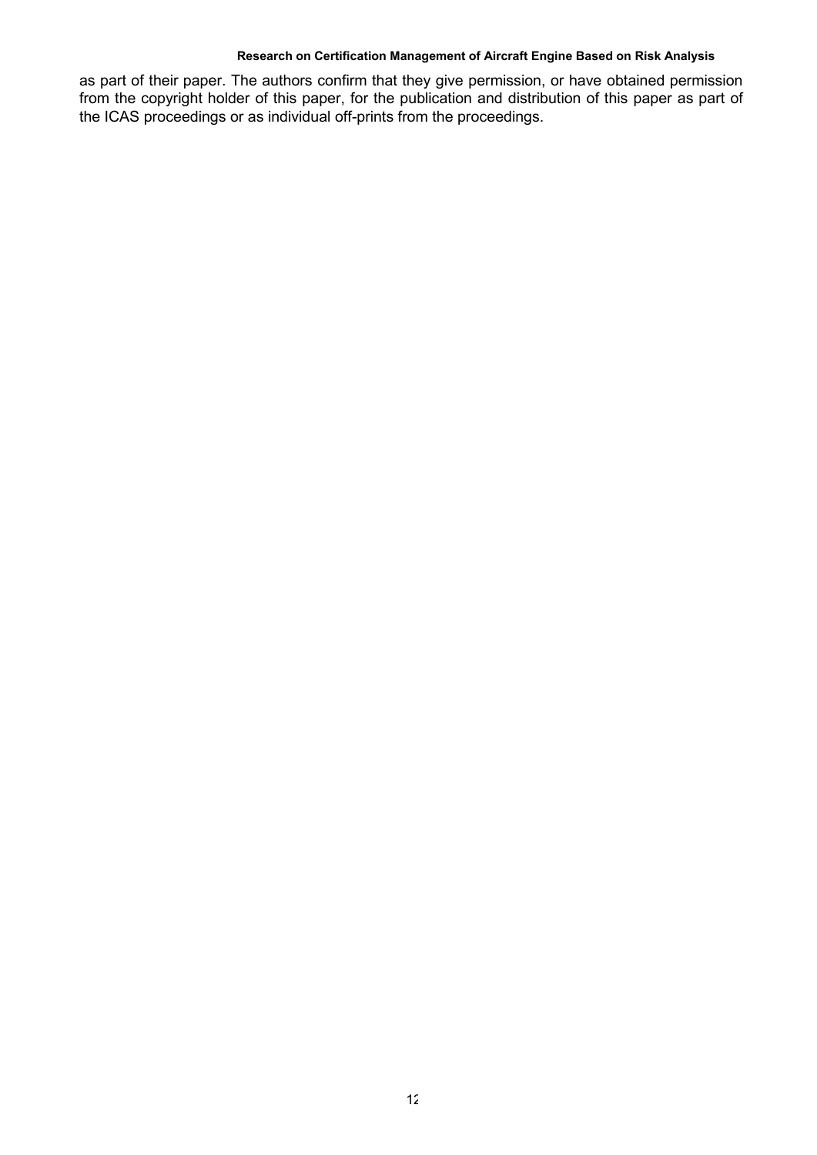as part of their paper. The authors confirm that they give permission, or have obtained permission from the copyright holder of this paper, for the publication and distribution of this paper as part of the ICAS proceedings or as individual off-prints from the proceedings.